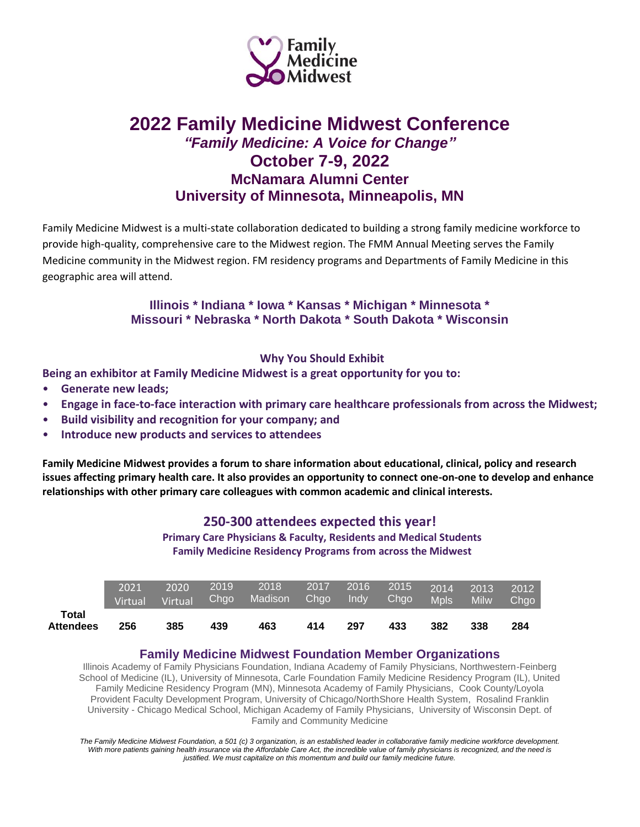

# **2022 Family Medicine Midwest Conference** *"Family Medicine: A Voice for Change"*  **October 7-9, 2022 McNamara Alumni Center University of Minnesota, Minneapolis, MN**

Family Medicine Midwest is a multi-state collaboration dedicated to building a strong family medicine workforce to provide high-quality, comprehensive care to the Midwest region. The FMM Annual Meeting serves the Family Medicine community in the Midwest region. FM residency programs and Departments of Family Medicine in this geographic area will attend.

### **Illinois \* Indiana \* Iowa \* Kansas \* Michigan \* Minnesota \* Missouri \* Nebraska \* North Dakota \* South Dakota \* Wisconsin**

### **Why You Should Exhibit**

**Being an exhibitor at Family Medicine Midwest is a great opportunity for you to:**

- **Generate new leads;**
- **Engage in face-to-face interaction with primary care healthcare professionals from across the Midwest;**
- **Build visibility and recognition for your company; and**
- **Introduce new products and services to attendees**

**Family Medicine Midwest provides a forum to share information about educational, clinical, policy and research issues affecting primary health care. It also provides an opportunity to connect one-on-one to develop and enhance relationships with other primary care colleagues with common academic and clinical interests.**

### **250-300 attendees expected this year!**

**Primary Care Physicians & Faculty, Residents and Medical Students Family Medicine Residency Programs from across the Midwest**

|                           | 2021<br><b>Virtual</b> | 2020<br>Virtual Chgo | 2019 | 2018<br><b>Madison</b> | 2017 2016<br>Chgo | $\overline{\phantom{a}}$ Indy | $2015$ $2014$ $2013$<br>Chgo | <b>Mpls</b> | <b>Milw</b> | 2012<br>Chgo |
|---------------------------|------------------------|----------------------|------|------------------------|-------------------|-------------------------------|------------------------------|-------------|-------------|--------------|
| Total<br><b>Attendees</b> | 256                    | 385                  | 439  | 463                    | 414               | 297                           | 433                          | 382         | 338         | 284          |

#### **Family Medicine Midwest Foundation Member Organizations**

Illinois Academy of Family Physicians Foundation, Indiana Academy of Family Physicians, Northwestern-Feinberg School of Medicine (IL), University of Minnesota, Carle Foundation Family Medicine Residency Program (IL), United Family Medicine Residency Program (MN), Minnesota Academy of Family Physicians, Cook County/Loyola Provident Faculty Development Program, University of Chicago/NorthShore Health System, Rosalind Franklin University - Chicago Medical School, Michigan Academy of Family Physicians, University of Wisconsin Dept. of Family and Community Medicine

*The Family Medicine Midwest Foundation, a 501 (c) 3 organization, is an established leader in collaborative family medicine workforce development.*  With more patients gaining health insurance via the Affordable Care Act, the incredible value of family physicians is recognized, and the need is *justified. We must capitalize on this momentum and build our family medicine future.*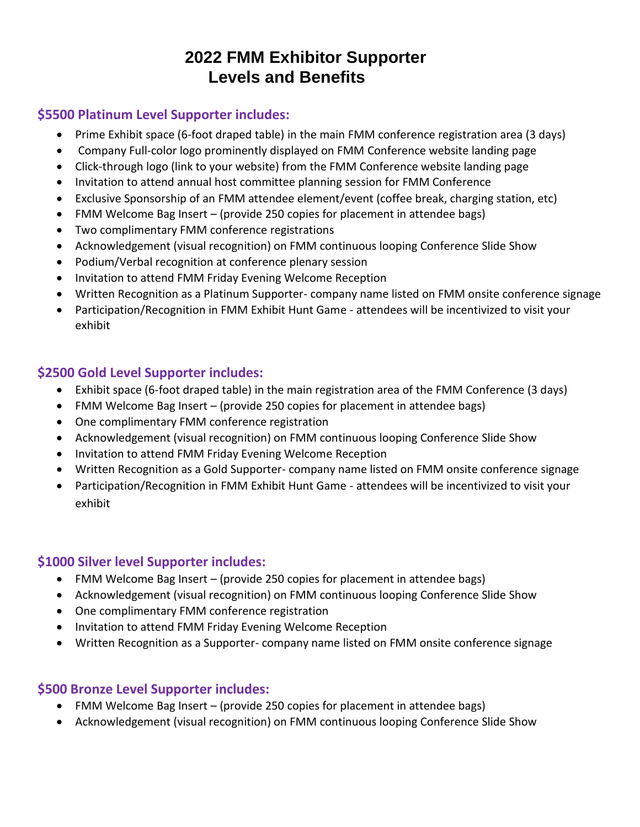# **2022 FMM Exhibitor Supporter Levels and Benefits**

## **\$5500 Platinum Level Supporter includes:**

- Prime Exhibit space (6-foot draped table) in the main FMM conference registration area (3 days)
- Company Full-color logo prominently displayed on FMM Conference website landing page
- Click-through logo (link to your website) from the FMM Conference website landing page
- Invitation to attend annual host committee planning session for FMM Conference
- Exclusive Sponsorship of an FMM attendee element/event (coffee break, charging station, etc)
- FMM Welcome Bag Insert (provide 250 copies for placement in attendee bags)
- Two complimentary FMM conference registrations
- Acknowledgement (visual recognition) on FMM continuous looping Conference Slide Show
- Podium/Verbal recognition at conference plenary session
- Invitation to attend FMM Friday Evening Welcome Reception
- Written Recognition as a Platinum Supporter- company name listed on FMM onsite conference signage
- Participation/Recognition in FMM Exhibit Hunt Game attendees will be incentivized to visit your exhibit

# **\$2500 Gold Level Supporter includes:**

- Exhibit space (6-foot draped table) in the main registration area of the FMM Conference (3 days)
- FMM Welcome Bag Insert (provide 250 copies for placement in attendee bags)
- One complimentary FMM conference registration
- Acknowledgement (visual recognition) on FMM continuous looping Conference Slide Show
- Invitation to attend FMM Friday Evening Welcome Reception
- Written Recognition as a Gold Supporter- company name listed on FMM onsite conference signage
- Participation/Recognition in FMM Exhibit Hunt Game attendees will be incentivized to visit your exhibit

# **\$1000 Silver level Supporter includes:**

- FMM Welcome Bag Insert (provide 250 copies for placement in attendee bags)
- Acknowledgement (visual recognition) on FMM continuous looping Conference Slide Show
- One complimentary FMM conference registration
- Invitation to attend FMM Friday Evening Welcome Reception
- Written Recognition as a Supporter- company name listed on FMM onsite conference signage

## **\$500 Bronze Level Supporter includes:**

- FMM Welcome Bag Insert (provide 250 copies for placement in attendee bags)
- Acknowledgement (visual recognition) on FMM continuous looping Conference Slide Show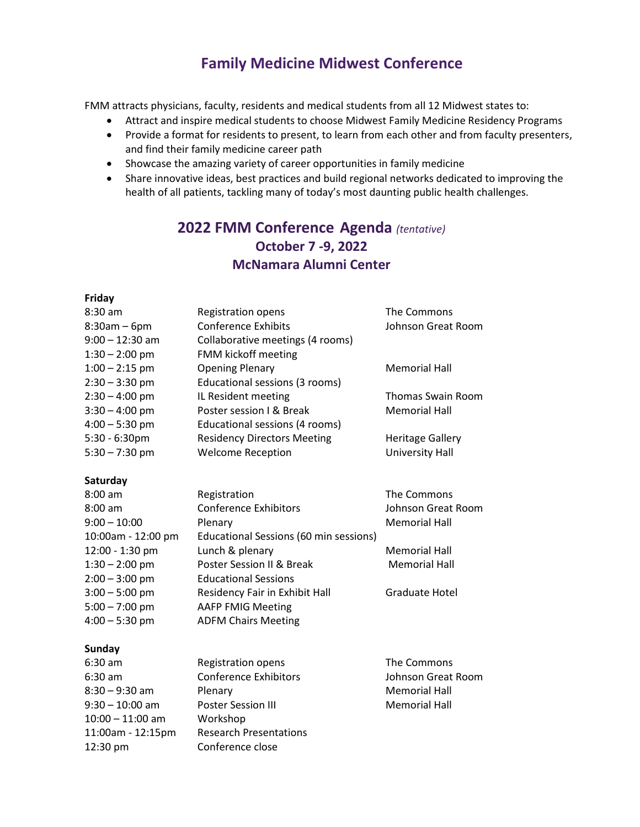# **Family Medicine Midwest Conference**

FMM attracts physicians, faculty, residents and medical students from all 12 Midwest states to:

- Attract and inspire medical students to choose Midwest Family Medicine Residency Programs
- Provide a format for residents to present, to learn from each other and from faculty presenters, and find their family medicine career path
- Showcase the amazing variety of career opportunities in family medicine
- Share innovative ideas, best practices and build regional networks dedicated to improving the health of all patients, tackling many of today's most daunting public health challenges.

# **2022 FMM Conference Agenda** *(tentative)* **October 7 -9, 2022 McNamara Alumni Center**

#### **Friday**

| $8:30$ am         | <b>Registration opens</b>          | The Commons              |
|-------------------|------------------------------------|--------------------------|
| $8:30am - 6pm$    | <b>Conference Exhibits</b>         | Johnson Great Room       |
| $9:00 - 12:30$ am | Collaborative meetings (4 rooms)   |                          |
| $1:30 - 2:00$ pm  | FMM kickoff meeting                |                          |
| $1:00 - 2:15$ pm  | <b>Opening Plenary</b>             | <b>Memorial Hall</b>     |
| $2:30 - 3:30$ pm  | Educational sessions (3 rooms)     |                          |
| $2:30 - 4:00$ pm  | IL Resident meeting                | <b>Thomas Swain Room</b> |
| $3:30 - 4:00$ pm  | Poster session I & Break           | <b>Memorial Hall</b>     |
| $4:00 - 5:30$ pm  | Educational sessions (4 rooms)     |                          |
| $5:30 - 6:30$ pm  | <b>Residency Directors Meeting</b> | <b>Heritage Gallery</b>  |
| $5:30 - 7:30$ pm  | <b>Welcome Reception</b>           | University Hall          |
|                   |                                    |                          |

#### **Saturday**

| $8:00$ am          | Registration                           | The Commons          |
|--------------------|----------------------------------------|----------------------|
| $8:00$ am          | <b>Conference Exhibitors</b>           | Johnson Great Room   |
| $9:00 - 10:00$     | Plenary                                | <b>Memorial Hall</b> |
| 10:00am - 12:00 pm | Educational Sessions (60 min sessions) |                      |
| 12:00 - 1:30 pm    | Lunch & plenary                        | Memorial Hall        |
| $1:30 - 2:00$ pm   | Poster Session II & Break              | <b>Memorial Hall</b> |
| $2:00 - 3:00$ pm   | <b>Educational Sessions</b>            |                      |
| $3:00 - 5:00$ pm   | Residency Fair in Exhibit Hall         | Graduate Hotel       |
| $5:00 - 7:00$ pm   | <b>AAFP FMIG Meeting</b>               |                      |
| $4:00 - 5:30$ pm   | <b>ADFM Chairs Meeting</b>             |                      |

#### **Sunday**

| $6:30$ am          | <b>Registration opens</b>     | The Commons          |
|--------------------|-------------------------------|----------------------|
| $6:30$ am          | <b>Conference Exhibitors</b>  | Johnson Great Room   |
| $8:30 - 9:30$ am   | Plenary                       | <b>Memorial Hall</b> |
| $9:30 - 10:00$ am  | <b>Poster Session III</b>     | Memorial Hall        |
| $10:00 - 11:00$ am | Workshop                      |                      |
| 11:00am - 12:15pm  | <b>Research Presentations</b> |                      |
| 12:30 pm           | Conference close              |                      |